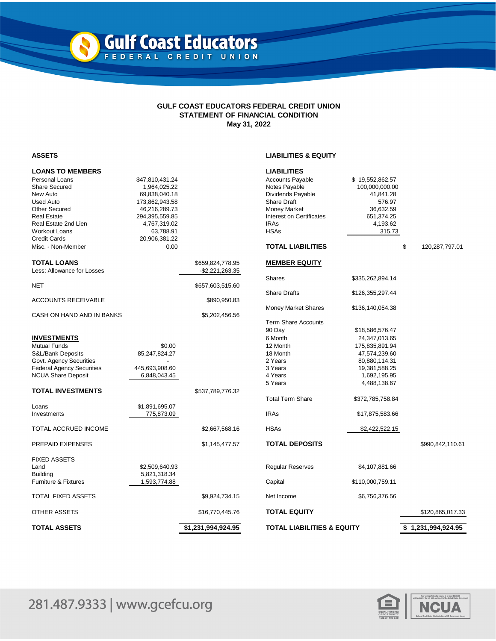## **GULF COAST EDUCATORS FEDERAL CREDIT UNION STATEMENT OF FINANCIAL CONDITION May 31, 2022**

N

## **ASSETS LIABILITIES & EQUITY**

| Personal Loans<br><b>Accounts Payable</b><br>\$47,810,431.24<br>\$19,552,862.57<br><b>Share Secured</b><br>Notes Payable<br>1,964,025.22<br>100,000,000.00<br>New Auto<br>Dividends Payable<br>69,838,040.18<br>41,841.28<br><b>Share Draft</b><br><b>Used Auto</b><br>173,862,943.58<br>576.97<br><b>Other Secured</b><br>46,216,289.73<br><b>Money Market</b><br>36,632.59<br>Interest on Certificates<br>Real Estate<br>294,395,559.85<br>651,374.25<br><b>IRAs</b><br>Real Estate 2nd Lien<br>4,767,319.02<br>4,193.62<br><b>HSAs</b><br><b>Workout Loans</b><br>63,788.91<br>315.73<br><b>Credit Cards</b><br>20,906,381.22<br><b>TOTAL LIABILITIES</b><br>\$<br>Misc. - Non-Member<br>0.00<br>120,287,797.01<br><b>TOTAL LOANS</b><br>\$659,824,778.95<br><b>MEMBER EQUITY</b><br>Less: Allowance for Losses<br>$-$ \$2,221,263.35<br><b>Shares</b><br>\$335,262,894.14<br><b>NET</b><br>\$657,603,515.60<br><b>Share Drafts</b><br>\$126,355,297.44<br><b>ACCOUNTS RECEIVABLE</b><br>\$890,950.83<br><b>Money Market Shares</b><br>\$136,140,054.38<br>CASH ON HAND AND IN BANKS<br>\$5,202,456.56<br><b>Term Share Accounts</b><br>90 Day<br>\$18,586,576.47<br><b>INVESTMENTS</b><br>6 Month<br>24,347,013.65<br><b>Mutual Funds</b><br>\$0.00<br>12 Month<br>175,835,891.94<br>S&L/Bank Deposits<br>85,247,824.27<br>18 Month<br>47,574,239.60<br>Govt. Agency Securities<br>2 Years<br>80,880,114.31<br><b>Federal Agency Securities</b><br>445,693,908.60<br>3 Years<br>19,381,588.25<br><b>NCUA Share Deposit</b><br>4 Years<br>6,848,043.45<br>1,692,195.95<br>5 Years<br>4,488,138.67<br><b>TOTAL INVESTMENTS</b><br>\$537,789,776.32<br><b>Total Term Share</b><br>\$372,785,758.84<br>\$1,891,695.07<br>Loans<br><b>IRAs</b><br>775,873.09<br>Investments<br>\$17,875,583.66<br><b>HSAs</b><br>TOTAL ACCRUED INCOME<br>\$2,667,568.16<br>\$2,422,522.15<br><b>TOTAL DEPOSITS</b><br>PREPAID EXPENSES<br>\$1,145,477.57<br>\$990,842,110.61<br><b>FIXED ASSETS</b><br>Land<br>\$2,509,640.93<br>Regular Reserves<br>\$4,107,881.66<br><b>Building</b><br>5,821,318.34<br>Furniture & Fixtures<br>1,593,774.88<br>Capital<br>\$110,000,759.11<br>TOTAL FIXED ASSETS<br>\$9,924,734.15<br>Net Income<br>\$6,756,376.56<br>OTHER ASSETS<br><b>TOTAL EQUITY</b><br>\$16,770,445.76<br>\$120,865,017.33<br><b>TOTAL LIABILITIES &amp; EQUITY</b><br>TOTAL ASSETS<br>\$1,231,994,924.95<br>\$1,231,994,924.95 | <b>LOANS TO MEMBERS</b> |  | <b>LIABILITIES</b> |  |  |
|-------------------------------------------------------------------------------------------------------------------------------------------------------------------------------------------------------------------------------------------------------------------------------------------------------------------------------------------------------------------------------------------------------------------------------------------------------------------------------------------------------------------------------------------------------------------------------------------------------------------------------------------------------------------------------------------------------------------------------------------------------------------------------------------------------------------------------------------------------------------------------------------------------------------------------------------------------------------------------------------------------------------------------------------------------------------------------------------------------------------------------------------------------------------------------------------------------------------------------------------------------------------------------------------------------------------------------------------------------------------------------------------------------------------------------------------------------------------------------------------------------------------------------------------------------------------------------------------------------------------------------------------------------------------------------------------------------------------------------------------------------------------------------------------------------------------------------------------------------------------------------------------------------------------------------------------------------------------------------------------------------------------------------------------------------------------------------------------------------------------------------------------------------------------------------------------------------------------------------------------------------------------------------------------------------------------------------------------------------------------------------------------------------------------------|-------------------------|--|--------------------|--|--|
|                                                                                                                                                                                                                                                                                                                                                                                                                                                                                                                                                                                                                                                                                                                                                                                                                                                                                                                                                                                                                                                                                                                                                                                                                                                                                                                                                                                                                                                                                                                                                                                                                                                                                                                                                                                                                                                                                                                                                                                                                                                                                                                                                                                                                                                                                                                                                                                                                         |                         |  |                    |  |  |
|                                                                                                                                                                                                                                                                                                                                                                                                                                                                                                                                                                                                                                                                                                                                                                                                                                                                                                                                                                                                                                                                                                                                                                                                                                                                                                                                                                                                                                                                                                                                                                                                                                                                                                                                                                                                                                                                                                                                                                                                                                                                                                                                                                                                                                                                                                                                                                                                                         |                         |  |                    |  |  |
|                                                                                                                                                                                                                                                                                                                                                                                                                                                                                                                                                                                                                                                                                                                                                                                                                                                                                                                                                                                                                                                                                                                                                                                                                                                                                                                                                                                                                                                                                                                                                                                                                                                                                                                                                                                                                                                                                                                                                                                                                                                                                                                                                                                                                                                                                                                                                                                                                         |                         |  |                    |  |  |
|                                                                                                                                                                                                                                                                                                                                                                                                                                                                                                                                                                                                                                                                                                                                                                                                                                                                                                                                                                                                                                                                                                                                                                                                                                                                                                                                                                                                                                                                                                                                                                                                                                                                                                                                                                                                                                                                                                                                                                                                                                                                                                                                                                                                                                                                                                                                                                                                                         |                         |  |                    |  |  |
|                                                                                                                                                                                                                                                                                                                                                                                                                                                                                                                                                                                                                                                                                                                                                                                                                                                                                                                                                                                                                                                                                                                                                                                                                                                                                                                                                                                                                                                                                                                                                                                                                                                                                                                                                                                                                                                                                                                                                                                                                                                                                                                                                                                                                                                                                                                                                                                                                         |                         |  |                    |  |  |
|                                                                                                                                                                                                                                                                                                                                                                                                                                                                                                                                                                                                                                                                                                                                                                                                                                                                                                                                                                                                                                                                                                                                                                                                                                                                                                                                                                                                                                                                                                                                                                                                                                                                                                                                                                                                                                                                                                                                                                                                                                                                                                                                                                                                                                                                                                                                                                                                                         |                         |  |                    |  |  |
|                                                                                                                                                                                                                                                                                                                                                                                                                                                                                                                                                                                                                                                                                                                                                                                                                                                                                                                                                                                                                                                                                                                                                                                                                                                                                                                                                                                                                                                                                                                                                                                                                                                                                                                                                                                                                                                                                                                                                                                                                                                                                                                                                                                                                                                                                                                                                                                                                         |                         |  |                    |  |  |
|                                                                                                                                                                                                                                                                                                                                                                                                                                                                                                                                                                                                                                                                                                                                                                                                                                                                                                                                                                                                                                                                                                                                                                                                                                                                                                                                                                                                                                                                                                                                                                                                                                                                                                                                                                                                                                                                                                                                                                                                                                                                                                                                                                                                                                                                                                                                                                                                                         |                         |  |                    |  |  |
|                                                                                                                                                                                                                                                                                                                                                                                                                                                                                                                                                                                                                                                                                                                                                                                                                                                                                                                                                                                                                                                                                                                                                                                                                                                                                                                                                                                                                                                                                                                                                                                                                                                                                                                                                                                                                                                                                                                                                                                                                                                                                                                                                                                                                                                                                                                                                                                                                         |                         |  |                    |  |  |
|                                                                                                                                                                                                                                                                                                                                                                                                                                                                                                                                                                                                                                                                                                                                                                                                                                                                                                                                                                                                                                                                                                                                                                                                                                                                                                                                                                                                                                                                                                                                                                                                                                                                                                                                                                                                                                                                                                                                                                                                                                                                                                                                                                                                                                                                                                                                                                                                                         |                         |  |                    |  |  |
|                                                                                                                                                                                                                                                                                                                                                                                                                                                                                                                                                                                                                                                                                                                                                                                                                                                                                                                                                                                                                                                                                                                                                                                                                                                                                                                                                                                                                                                                                                                                                                                                                                                                                                                                                                                                                                                                                                                                                                                                                                                                                                                                                                                                                                                                                                                                                                                                                         |                         |  |                    |  |  |
|                                                                                                                                                                                                                                                                                                                                                                                                                                                                                                                                                                                                                                                                                                                                                                                                                                                                                                                                                                                                                                                                                                                                                                                                                                                                                                                                                                                                                                                                                                                                                                                                                                                                                                                                                                                                                                                                                                                                                                                                                                                                                                                                                                                                                                                                                                                                                                                                                         |                         |  |                    |  |  |
|                                                                                                                                                                                                                                                                                                                                                                                                                                                                                                                                                                                                                                                                                                                                                                                                                                                                                                                                                                                                                                                                                                                                                                                                                                                                                                                                                                                                                                                                                                                                                                                                                                                                                                                                                                                                                                                                                                                                                                                                                                                                                                                                                                                                                                                                                                                                                                                                                         |                         |  |                    |  |  |
|                                                                                                                                                                                                                                                                                                                                                                                                                                                                                                                                                                                                                                                                                                                                                                                                                                                                                                                                                                                                                                                                                                                                                                                                                                                                                                                                                                                                                                                                                                                                                                                                                                                                                                                                                                                                                                                                                                                                                                                                                                                                                                                                                                                                                                                                                                                                                                                                                         |                         |  |                    |  |  |
|                                                                                                                                                                                                                                                                                                                                                                                                                                                                                                                                                                                                                                                                                                                                                                                                                                                                                                                                                                                                                                                                                                                                                                                                                                                                                                                                                                                                                                                                                                                                                                                                                                                                                                                                                                                                                                                                                                                                                                                                                                                                                                                                                                                                                                                                                                                                                                                                                         |                         |  |                    |  |  |
|                                                                                                                                                                                                                                                                                                                                                                                                                                                                                                                                                                                                                                                                                                                                                                                                                                                                                                                                                                                                                                                                                                                                                                                                                                                                                                                                                                                                                                                                                                                                                                                                                                                                                                                                                                                                                                                                                                                                                                                                                                                                                                                                                                                                                                                                                                                                                                                                                         |                         |  |                    |  |  |
|                                                                                                                                                                                                                                                                                                                                                                                                                                                                                                                                                                                                                                                                                                                                                                                                                                                                                                                                                                                                                                                                                                                                                                                                                                                                                                                                                                                                                                                                                                                                                                                                                                                                                                                                                                                                                                                                                                                                                                                                                                                                                                                                                                                                                                                                                                                                                                                                                         |                         |  |                    |  |  |
|                                                                                                                                                                                                                                                                                                                                                                                                                                                                                                                                                                                                                                                                                                                                                                                                                                                                                                                                                                                                                                                                                                                                                                                                                                                                                                                                                                                                                                                                                                                                                                                                                                                                                                                                                                                                                                                                                                                                                                                                                                                                                                                                                                                                                                                                                                                                                                                                                         |                         |  |                    |  |  |
|                                                                                                                                                                                                                                                                                                                                                                                                                                                                                                                                                                                                                                                                                                                                                                                                                                                                                                                                                                                                                                                                                                                                                                                                                                                                                                                                                                                                                                                                                                                                                                                                                                                                                                                                                                                                                                                                                                                                                                                                                                                                                                                                                                                                                                                                                                                                                                                                                         |                         |  |                    |  |  |
|                                                                                                                                                                                                                                                                                                                                                                                                                                                                                                                                                                                                                                                                                                                                                                                                                                                                                                                                                                                                                                                                                                                                                                                                                                                                                                                                                                                                                                                                                                                                                                                                                                                                                                                                                                                                                                                                                                                                                                                                                                                                                                                                                                                                                                                                                                                                                                                                                         |                         |  |                    |  |  |
|                                                                                                                                                                                                                                                                                                                                                                                                                                                                                                                                                                                                                                                                                                                                                                                                                                                                                                                                                                                                                                                                                                                                                                                                                                                                                                                                                                                                                                                                                                                                                                                                                                                                                                                                                                                                                                                                                                                                                                                                                                                                                                                                                                                                                                                                                                                                                                                                                         |                         |  |                    |  |  |
|                                                                                                                                                                                                                                                                                                                                                                                                                                                                                                                                                                                                                                                                                                                                                                                                                                                                                                                                                                                                                                                                                                                                                                                                                                                                                                                                                                                                                                                                                                                                                                                                                                                                                                                                                                                                                                                                                                                                                                                                                                                                                                                                                                                                                                                                                                                                                                                                                         |                         |  |                    |  |  |
|                                                                                                                                                                                                                                                                                                                                                                                                                                                                                                                                                                                                                                                                                                                                                                                                                                                                                                                                                                                                                                                                                                                                                                                                                                                                                                                                                                                                                                                                                                                                                                                                                                                                                                                                                                                                                                                                                                                                                                                                                                                                                                                                                                                                                                                                                                                                                                                                                         |                         |  |                    |  |  |
|                                                                                                                                                                                                                                                                                                                                                                                                                                                                                                                                                                                                                                                                                                                                                                                                                                                                                                                                                                                                                                                                                                                                                                                                                                                                                                                                                                                                                                                                                                                                                                                                                                                                                                                                                                                                                                                                                                                                                                                                                                                                                                                                                                                                                                                                                                                                                                                                                         |                         |  |                    |  |  |
|                                                                                                                                                                                                                                                                                                                                                                                                                                                                                                                                                                                                                                                                                                                                                                                                                                                                                                                                                                                                                                                                                                                                                                                                                                                                                                                                                                                                                                                                                                                                                                                                                                                                                                                                                                                                                                                                                                                                                                                                                                                                                                                                                                                                                                                                                                                                                                                                                         |                         |  |                    |  |  |
|                                                                                                                                                                                                                                                                                                                                                                                                                                                                                                                                                                                                                                                                                                                                                                                                                                                                                                                                                                                                                                                                                                                                                                                                                                                                                                                                                                                                                                                                                                                                                                                                                                                                                                                                                                                                                                                                                                                                                                                                                                                                                                                                                                                                                                                                                                                                                                                                                         |                         |  |                    |  |  |
|                                                                                                                                                                                                                                                                                                                                                                                                                                                                                                                                                                                                                                                                                                                                                                                                                                                                                                                                                                                                                                                                                                                                                                                                                                                                                                                                                                                                                                                                                                                                                                                                                                                                                                                                                                                                                                                                                                                                                                                                                                                                                                                                                                                                                                                                                                                                                                                                                         |                         |  |                    |  |  |
|                                                                                                                                                                                                                                                                                                                                                                                                                                                                                                                                                                                                                                                                                                                                                                                                                                                                                                                                                                                                                                                                                                                                                                                                                                                                                                                                                                                                                                                                                                                                                                                                                                                                                                                                                                                                                                                                                                                                                                                                                                                                                                                                                                                                                                                                                                                                                                                                                         |                         |  |                    |  |  |
|                                                                                                                                                                                                                                                                                                                                                                                                                                                                                                                                                                                                                                                                                                                                                                                                                                                                                                                                                                                                                                                                                                                                                                                                                                                                                                                                                                                                                                                                                                                                                                                                                                                                                                                                                                                                                                                                                                                                                                                                                                                                                                                                                                                                                                                                                                                                                                                                                         |                         |  |                    |  |  |
|                                                                                                                                                                                                                                                                                                                                                                                                                                                                                                                                                                                                                                                                                                                                                                                                                                                                                                                                                                                                                                                                                                                                                                                                                                                                                                                                                                                                                                                                                                                                                                                                                                                                                                                                                                                                                                                                                                                                                                                                                                                                                                                                                                                                                                                                                                                                                                                                                         |                         |  |                    |  |  |
|                                                                                                                                                                                                                                                                                                                                                                                                                                                                                                                                                                                                                                                                                                                                                                                                                                                                                                                                                                                                                                                                                                                                                                                                                                                                                                                                                                                                                                                                                                                                                                                                                                                                                                                                                                                                                                                                                                                                                                                                                                                                                                                                                                                                                                                                                                                                                                                                                         |                         |  |                    |  |  |
|                                                                                                                                                                                                                                                                                                                                                                                                                                                                                                                                                                                                                                                                                                                                                                                                                                                                                                                                                                                                                                                                                                                                                                                                                                                                                                                                                                                                                                                                                                                                                                                                                                                                                                                                                                                                                                                                                                                                                                                                                                                                                                                                                                                                                                                                                                                                                                                                                         |                         |  |                    |  |  |
|                                                                                                                                                                                                                                                                                                                                                                                                                                                                                                                                                                                                                                                                                                                                                                                                                                                                                                                                                                                                                                                                                                                                                                                                                                                                                                                                                                                                                                                                                                                                                                                                                                                                                                                                                                                                                                                                                                                                                                                                                                                                                                                                                                                                                                                                                                                                                                                                                         |                         |  |                    |  |  |
|                                                                                                                                                                                                                                                                                                                                                                                                                                                                                                                                                                                                                                                                                                                                                                                                                                                                                                                                                                                                                                                                                                                                                                                                                                                                                                                                                                                                                                                                                                                                                                                                                                                                                                                                                                                                                                                                                                                                                                                                                                                                                                                                                                                                                                                                                                                                                                                                                         |                         |  |                    |  |  |
|                                                                                                                                                                                                                                                                                                                                                                                                                                                                                                                                                                                                                                                                                                                                                                                                                                                                                                                                                                                                                                                                                                                                                                                                                                                                                                                                                                                                                                                                                                                                                                                                                                                                                                                                                                                                                                                                                                                                                                                                                                                                                                                                                                                                                                                                                                                                                                                                                         |                         |  |                    |  |  |
|                                                                                                                                                                                                                                                                                                                                                                                                                                                                                                                                                                                                                                                                                                                                                                                                                                                                                                                                                                                                                                                                                                                                                                                                                                                                                                                                                                                                                                                                                                                                                                                                                                                                                                                                                                                                                                                                                                                                                                                                                                                                                                                                                                                                                                                                                                                                                                                                                         |                         |  |                    |  |  |
|                                                                                                                                                                                                                                                                                                                                                                                                                                                                                                                                                                                                                                                                                                                                                                                                                                                                                                                                                                                                                                                                                                                                                                                                                                                                                                                                                                                                                                                                                                                                                                                                                                                                                                                                                                                                                                                                                                                                                                                                                                                                                                                                                                                                                                                                                                                                                                                                                         |                         |  |                    |  |  |
|                                                                                                                                                                                                                                                                                                                                                                                                                                                                                                                                                                                                                                                                                                                                                                                                                                                                                                                                                                                                                                                                                                                                                                                                                                                                                                                                                                                                                                                                                                                                                                                                                                                                                                                                                                                                                                                                                                                                                                                                                                                                                                                                                                                                                                                                                                                                                                                                                         |                         |  |                    |  |  |
|                                                                                                                                                                                                                                                                                                                                                                                                                                                                                                                                                                                                                                                                                                                                                                                                                                                                                                                                                                                                                                                                                                                                                                                                                                                                                                                                                                                                                                                                                                                                                                                                                                                                                                                                                                                                                                                                                                                                                                                                                                                                                                                                                                                                                                                                                                                                                                                                                         |                         |  |                    |  |  |
|                                                                                                                                                                                                                                                                                                                                                                                                                                                                                                                                                                                                                                                                                                                                                                                                                                                                                                                                                                                                                                                                                                                                                                                                                                                                                                                                                                                                                                                                                                                                                                                                                                                                                                                                                                                                                                                                                                                                                                                                                                                                                                                                                                                                                                                                                                                                                                                                                         |                         |  |                    |  |  |
|                                                                                                                                                                                                                                                                                                                                                                                                                                                                                                                                                                                                                                                                                                                                                                                                                                                                                                                                                                                                                                                                                                                                                                                                                                                                                                                                                                                                                                                                                                                                                                                                                                                                                                                                                                                                                                                                                                                                                                                                                                                                                                                                                                                                                                                                                                                                                                                                                         |                         |  |                    |  |  |
|                                                                                                                                                                                                                                                                                                                                                                                                                                                                                                                                                                                                                                                                                                                                                                                                                                                                                                                                                                                                                                                                                                                                                                                                                                                                                                                                                                                                                                                                                                                                                                                                                                                                                                                                                                                                                                                                                                                                                                                                                                                                                                                                                                                                                                                                                                                                                                                                                         |                         |  |                    |  |  |